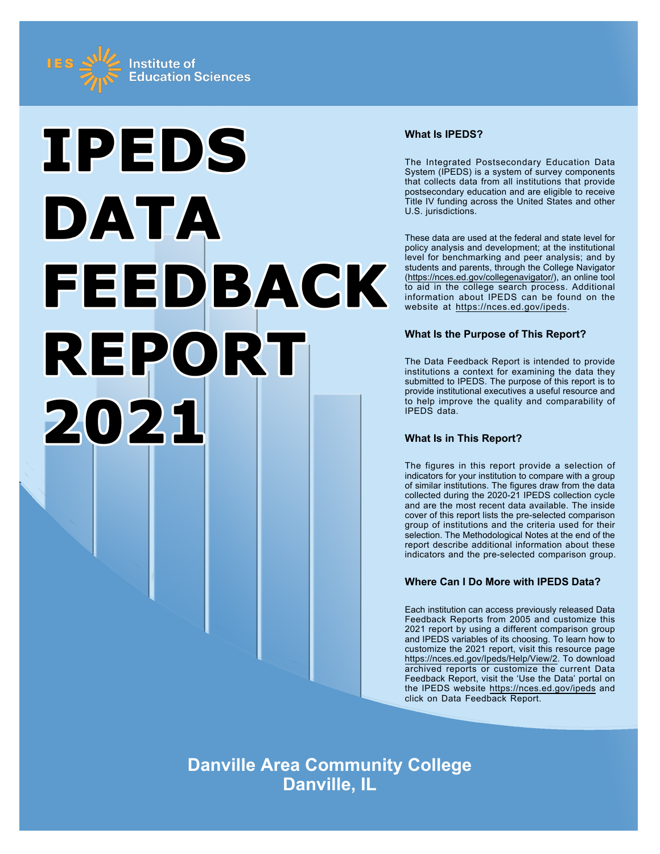



# **What Is IPEDS?**

The Integrated Postsecondary Education Data System (IPEDS) is a system of survey components that collects data from all institutions that provide postsecondary education and are eligible to receive Title IV funding across the United States and other U.S. jurisdictions.

These data are used at the federal and state level for policy analysis and development; at the institutional level for benchmarking and peer analysis; and by students and parents, through the College Navigator ([https://nces.ed.gov/collegenavigator/\)](https://nces.ed.gov/collegenavigator/), an online tool to aid in the college search process. Additional information about IPEDS can be found on the website at<https://nces.ed.gov/ipeds>.

# **What Is the Purpose of This Report?**

The Data Feedback Report is intended to provide institutions a context for examining the data they submitted to IPEDS. The purpose of this report is to provide institutional executives a useful resource and to help improve the quality and comparability of IPEDS data.

# **What Is in This Report?**

The figures in this report provide a selection of indicators for your institution to compare with a group of similar institutions. The figures draw from the data collected during the 2020-21 IPEDS collection cycle and are the most recent data available. The inside cover of this report lists the pre-selected comparison group of institutions and the criteria used for their selection. The Methodological Notes at the end of the report describe additional information about these indicators and the pre-selected comparison group.

# **Where Can I Do More with IPEDS Data?**

Each institution can access previously released Data Feedback Reports from 2005 and customize this 2021 report by using a different comparison group and IPEDS variables of its choosing. To learn how to customize the 2021 report, visit this resource page <https://nces.ed.gov/Ipeds/Help/View/2>. To download archived reports or customize the current Data Feedback Report, visit the 'Use the Data' portal on the IPEDS website<https://nces.ed.gov/ipeds> and click on Data Feedback Report.

**Danville Area Community College Danville, IL**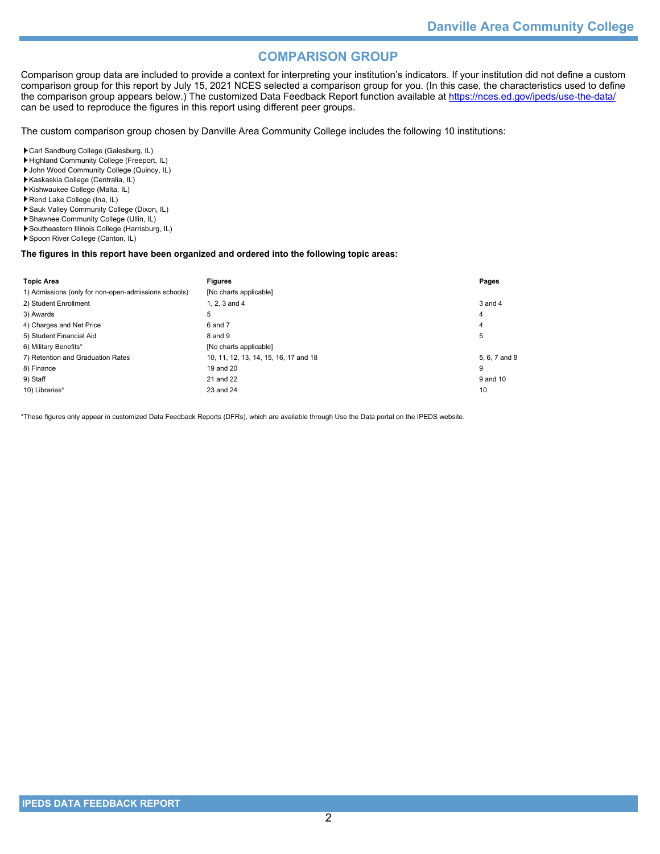# **COMPARISON GROUP**

Comparison group data are included to provide a context for interpreting your institution's indicators. If your institution did not define a custom comparison group for this report by July 15, 2021 NCES selected a comparison group for you. (In this case, the characteristics used to define the comparison group appears below.) The customized Data Feedback Report function available at<https://nces.ed.gov/ipeds/use-the-data/> can be used to reproduce the figures in this report using different peer groups.

The custom comparison group chosen by Danville Area Community College includes the following 10 institutions:

Carl Sandburg College (Galesburg, IL)

- Highland Community College (Freeport, IL)
- John Wood Community College (Quincy, IL)
- Kaskaskia College (Centralia, IL) Kishwaukee College (Malta, IL)
- Rend Lake College (Ina, IL)
- Sauk Valley Community College (Dixon, IL)
- Shawnee Community College (Ullin, IL)
- Southeastern Illinois College (Harrisburg, IL)
- Spoon River College (Canton, IL)

### **The figures in this report have been organized and ordered into the following topic areas:**

| <b>Topic Area</b>                                    | <b>Figures</b>                        | Pages         |
|------------------------------------------------------|---------------------------------------|---------------|
| 1) Admissions (only for non-open-admissions schools) | [No charts applicable]                |               |
| 2) Student Enrollment                                | 1. $2.3$ and $4$                      | 3 and 4       |
| 3) Awards                                            | 5                                     | 4             |
| 4) Charges and Net Price                             | 6 and 7                               | 4             |
| 5) Student Financial Aid                             | 8 and 9                               | 5             |
| 6) Military Benefits*                                | [No charts applicable]                |               |
| 7) Retention and Graduation Rates                    | 10, 11, 12, 13, 14, 15, 16, 17 and 18 | 5, 6, 7 and 8 |
| 8) Finance                                           | 19 and 20                             | 9             |
| 9) Staff                                             | 21 and 22                             | 9 and 10      |
| 10) Libraries*                                       | 23 and 24                             | 10            |

\*These figures only appear in customized Data Feedback Reports (DFRs), which are available through Use the Data portal on the IPEDS website.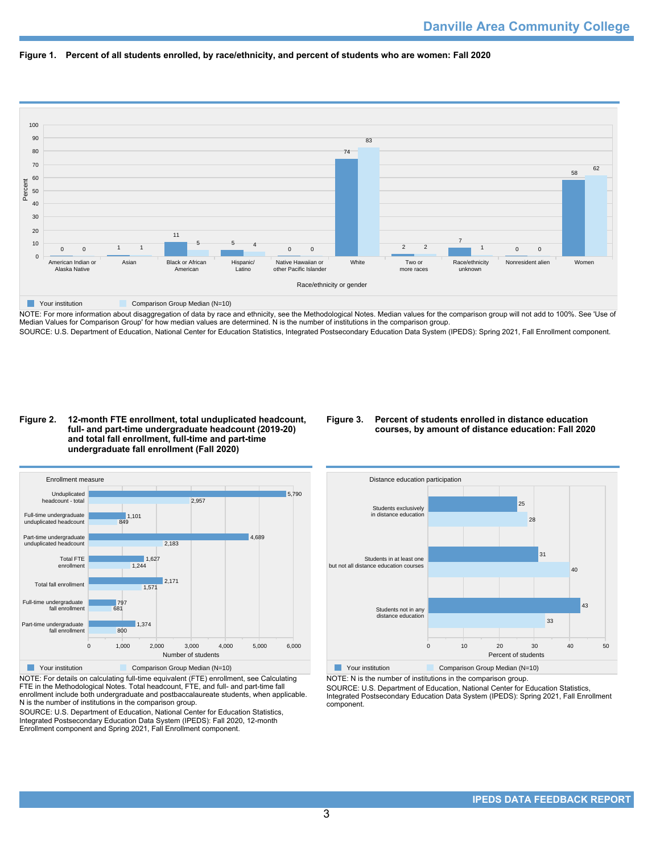



NOTE: For more information about disaggregation of data by race and ethnicity, see the Methodological Notes. Median values for the comparison group will not add to 100%. See 'Use of Median Values for Comparison Group' for how median values are determined. N is the number of institutions in the comparison group. SOURCE: U.S. Department of Education, National Center for Education Statistics, Integrated Postsecondary Education Data System (IPEDS): Spring 2021, Fall Enrollment component.

### **Figure 2. 12-month FTE enrollment, total unduplicated headcount, full- and part-time undergraduate headcount (2019-20) and total fall enrollment, full-time and part-time undergraduate fall enrollment (Fall 2020)**

# **Figure 3. Percent of students enrolled in distance education courses, by amount of distance education: Fall 2020**



NOTE: For details on calculating full-time equivalent (FTE) enrollment, see Calculating FTE in the Methodological Notes. Total headcount, FTE, and full- and part-time fall enrollment include both undergraduate and postbaccalaureate students, when applicable. N is the number of institutions in the comparison group.

SOURCE: U.S. Department of Education, National Center for Education Statistics, Integrated Postsecondary Education Data System (IPEDS): Fall 2020, 12-month Enrollment component and Spring 2021, Fall Enrollment component.



NOTE: N is the number of institutions in the comparison group.

SOURCE: U.S. Department of Education, National Center for Education Statistics, Integrated Postsecondary Education Data System (IPEDS): Spring 2021, Fall Enrollment component.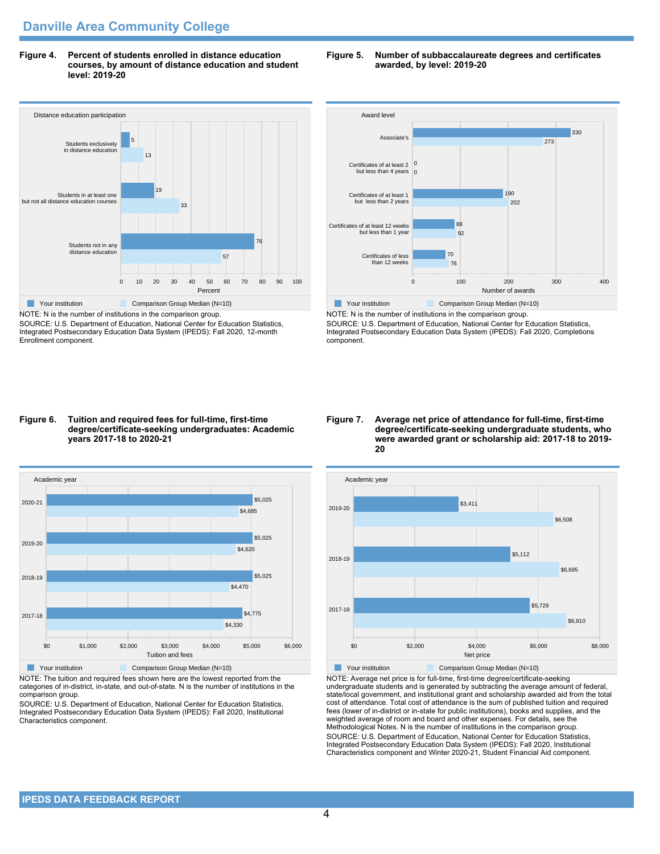**Figure 4. Percent of students enrolled in distance education courses, by amount of distance education and student level: 2019-20**



NOTE: N is the number of institutions in the comparison group. SOURCE: U.S. Department of Education, National Center for Education Statistics, Integrated Postsecondary Education Data System (IPEDS): Fall 2020, 12-month Enrollment component.

### **Figure 5. Number of subbaccalaureate degrees and certificates awarded, by level: 2019-20**



NOTE: N is the number of institutions in the comparison group. SOURCE: U.S. Department of Education, National Center for Education Statistics, Integrated Postsecondary Education Data System (IPEDS): Fall 2020, Completions component.

#### **Figure 6. Tuition and required fees for full-time, first-time degree/certificate-seeking undergraduates: Academic years 2017-18 to 2020-21**



NOTE: The tuition and required fees shown here are the lowest reported from the categories of in-district, in-state, and out-of-state. N is the number of institutions in the comparison group.

SOURCE: U.S. Department of Education, National Center for Education Statistics, Integrated Postsecondary Education Data System (IPEDS): Fall 2020, Institutional Characteristics component.

#### **Figure 7. Average net price of attendance for full-time, first-time degree/certificate-seeking undergraduate students, who were awarded grant or scholarship aid: 2017-18 to 2019- 20**



NOTE: Average net price is for full-time, first-time degree/certificate-seeking undergraduate students and is generated by subtracting the average amount of federal, state/local government, and institutional grant and scholarship awarded aid from the total cost of attendance. Total cost of attendance is the sum of published tuition and required fees (lower of in-district or in-state for public institutions), books and supplies, and the weighted average of room and board and other expenses. For details, see the Methodological Notes. N is the number of institutions in the comparison group. SOURCE: U.S. Department of Education, National Center for Education Statistics, Integrated Postsecondary Education Data System (IPEDS): Fall 2020, Institutional Characteristics component and Winter 2020-21, Student Financial Aid component.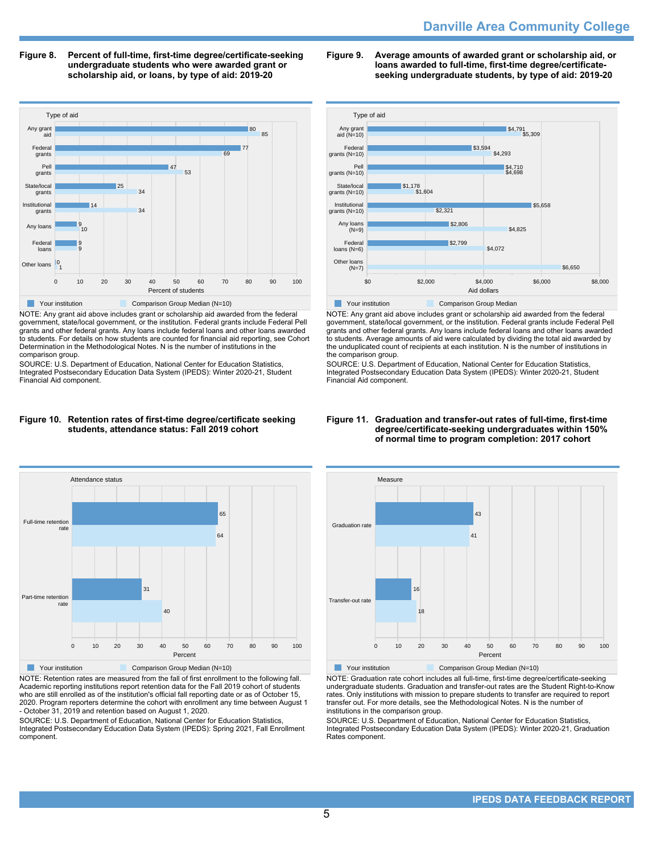# **Danville Area Community College**

**Figure 8. Percent of full-time, first-time degree/certificate-seeking undergraduate students who were awarded grant or scholarship aid, or loans, by type of aid: 2019-20**



NOTE: Any grant aid above includes grant or scholarship aid awarded from the federal government, state/local government, or the institution. Federal grants include Federal Pell grants and other federal grants. Any loans include federal loans and other loans awarded to students. For details on how students are counted for financial aid reporting, see Cohort Determination in the Methodological Notes. N is the number of institutions in the comparison group.

SOURCE: U.S. Department of Education, National Center for Education Statistics, Integrated Postsecondary Education Data System (IPEDS): Winter 2020-21, Student Financial Aid component.





NOTE: Retention rates are measured from the fall of first enrollment to the following fall. Academic reporting institutions report retention data for the Fall 2019 cohort of students who are still enrolled as of the institution's official fall reporting date or as of October 15, 2020. Program reporters determine the cohort with enrollment any time between August 1 - October 31, 2019 and retention based on August 1, 2020.

SOURCE: U.S. Department of Education, National Center for Education Statistics, Integrated Postsecondary Education Data System (IPEDS): Spring 2021, Fall Enrollment component.

**Figure 9. Average amounts of awarded grant or scholarship aid, or loans awarded to full-time, first-time degree/certificateseeking undergraduate students, by type of aid: 2019-20**



NOTE: Any grant aid above includes grant or scholarship aid awarded from the federal government, state/local government, or the institution. Federal grants include Federal Pell grants and other federal grants. Any loans include federal loans and other loans awarded to students. Average amounts of aid were calculated by dividing the total aid awarded by the unduplicated count of recipients at each institution. N is the number of institutions in the comparison group.

SOURCE: U.S. Department of Education, National Center for Education Statistics, Integrated Postsecondary Education Data System (IPEDS): Winter 2020-21, Student Financial Aid component.

### **Figure 11. Graduation and transfer-out rates of full-time, first-time degree/certificate-seeking undergraduates within 150% of normal time to program completion: 2017 cohort**



NOTE: Graduation rate cohort includes all full-time, first-time degree/certificate-seeking undergraduate students. Graduation and transfer-out rates are the Student Right-to-Know rates. Only institutions with mission to prepare students to transfer are required to report transfer out. For more details, see the Methodological Notes. N is the number of institutions in the comparison group.

SOURCE: U.S. Department of Education, National Center for Education Statistics, Integrated Postsecondary Education Data System (IPEDS): Winter 2020-21, Graduation Rates component.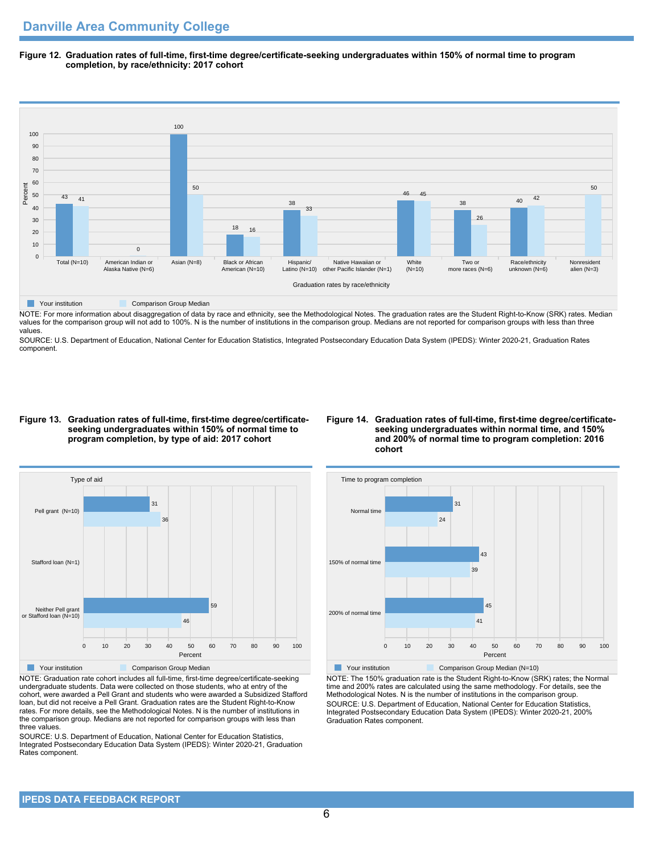**Figure 12. Graduation rates of full-time, first-time degree/certificate-seeking undergraduates within 150% of normal time to program completion, by race/ethnicity: 2017 cohort**



NOTE: For more information about disaggregation of data by race and ethnicity, see the Methodological Notes. The graduation rates are the Student Right-to-Know (SRK) rates. Median values for the comparison group will not add to 100%. N is the number of institutions in the comparison group. Medians are not reported for comparison groups with less than three values.

SOURCE: U.S. Department of Education, National Center for Education Statistics, Integrated Postsecondary Education Data System (IPEDS): Winter 2020-21, Graduation Rates component.

#### **Figure 13. Graduation rates of full-time, first-time degree/certificateseeking undergraduates within 150% of normal time to program completion, by type of aid: 2017 cohort**

### **Figure 14. Graduation rates of full-time, first-time degree/certificateseeking undergraduates within normal time, and 150% and 200% of normal time to program completion: 2016 cohort**



NOTE: Graduation rate cohort includes all full-time, first-time degree/certificate-seeking undergraduate students. Data were collected on those students, who at entry of the cohort, were awarded a Pell Grant and students who were awarded a Subsidized Stafford loan, but did not receive a Pell Grant. Graduation rates are the Student Right-to-Know rates. For more details, see the Methodological Notes. N is the number of institutions in the comparison group. Medians are not reported for comparison groups with less than three values.

SOURCE: U.S. Department of Education, National Center for Education Statistics, Integrated Postsecondary Education Data System (IPEDS): Winter 2020-21, Graduation Rates component.



NOTE: The 150% graduation rate is the Student Right-to-Know (SRK) rates; the Normal time and 200% rates are calculated using the same methodology. For details, see the Methodological Notes. N is the number of institutions in the comparison group. SOURCE: U.S. Department of Education, National Center for Education Statistics, Integrated Postsecondary Education Data System (IPEDS): Winter 2020-21, 200% Graduation Rates component.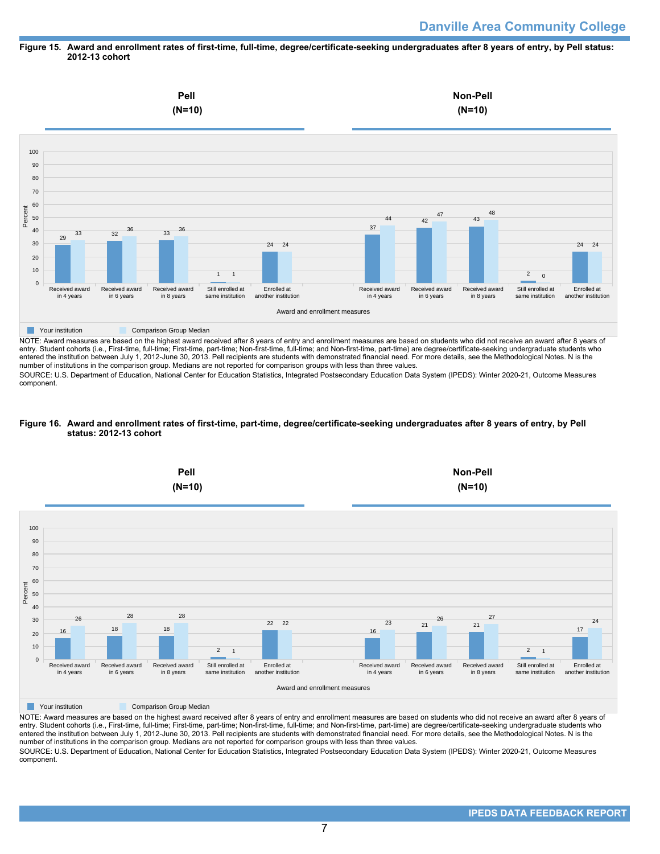### **Figure 15. Award and enrollment rates of first-time, full-time, degree/certificate-seeking undergraduates after 8 years of entry, by Pell status: 2012-13 cohort**



NOTE: Award measures are based on the highest award received after 8 years of entry and enrollment measures are based on students who did not receive an award after 8 years of entry. Student cohorts (i.e., First-time, full-time; First-time, part-time; Non-first-time, full-time; and Non-first-time, part-time) are degree/certificate-seeking undergraduate students who entered the institution between July 1, 2012-June 30, 2013. Pell recipients are students with demonstrated financial need. For more details, see the Methodological Notes. N is the number of institutions in the comparison group. Medians are not reported for comparison groups with less than three values.

SOURCE: U.S. Department of Education, National Center for Education Statistics, Integrated Postsecondary Education Data System (IPEDS): Winter 2020-21, Outcome Measures component.

### **Figure 16. Award and enrollment rates of first-time, part-time, degree/certificate-seeking undergraduates after 8 years of entry, by Pell status: 2012-13 cohort**



NOTE: Award measures are based on the highest award received after 8 years of entry and enrollment measures are based on students who did not receive an award after 8 years of entry. Student cohorts (i.e., First-time, full-time; First-time, part-time; Non-first-time, full-time; and Non-first-time, part-time) are degree/certificate-seeking undergraduate students who entered the institution between July 1, 2012-June 30, 2013. Pell recipients are students with demonstrated financial need. For more details, see the Methodological Notes. N is the number of institutions in the comparison group. Medians are not reported for comparison groups with less than three values. SOURCE: U.S. Department of Education, National Center for Education Statistics, Integrated Postsecondary Education Data System (IPEDS): Winter 2020-21, Outcome Measures component.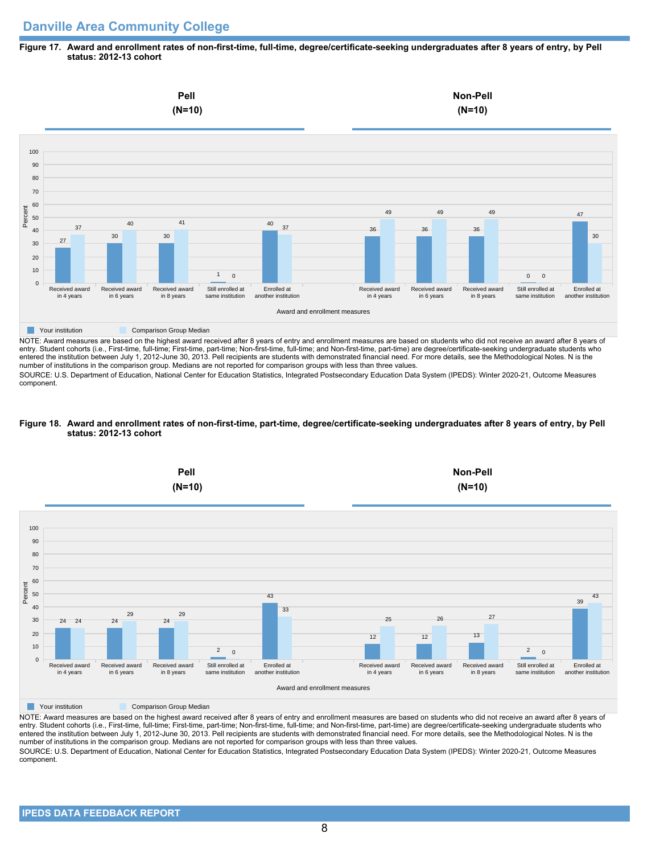# **Danville Area Community College**

### **Figure 17. Award and enrollment rates of non-first-time, full-time, degree/certificate-seeking undergraduates after 8 years of entry, by Pell status: 2012-13 cohort**



NOTE: Award measures are based on the highest award received after 8 years of entry and enrollment measures are based on students who did not receive an award after 8 years of entry. Student cohorts (i.e., First-time, full-time; First-time, part-time; Non-first-time, full-time; and Non-first-time, part-time) are degree/certificate-seeking undergraduate students who entered the institution between July 1, 2012-June 30, 2013. Pell recipients are students with demonstrated financial need. For more details, see the Methodological Notes. N is the number of institutions in the comparison group. Medians are not reported for comparison groups with less than three values.

SOURCE: U.S. Department of Education, National Center for Education Statistics, Integrated Postsecondary Education Data System (IPEDS): Winter 2020-21, Outcome Measures component.

### **Figure 18. Award and enrollment rates of non-first-time, part-time, degree/certificate-seeking undergraduates after 8 years of entry, by Pell status: 2012-13 cohort**



NOTE: Award measures are based on the highest award received after 8 years of entry and enrollment measures are based on students who did not receive an award after 8 years of entry. Student cohorts (i.e., First-time, full-time; First-time, part-time; Non-first-time, full-time; and Non-first-time, part-time) are degree/certificate-seeking undergraduate students who entered the institution between July 1, 2012-June 30, 2013. Pell recipients are students with demonstrated financial need. For more details, see the Methodological Notes. N is the number of institutions in the comparison group. Medians are not reported for comparison groups with less than three values. SOURCE: U.S. Department of Education, National Center for Education Statistics, Integrated Postsecondary Education Data System (IPEDS): Winter 2020-21, Outcome Measures component.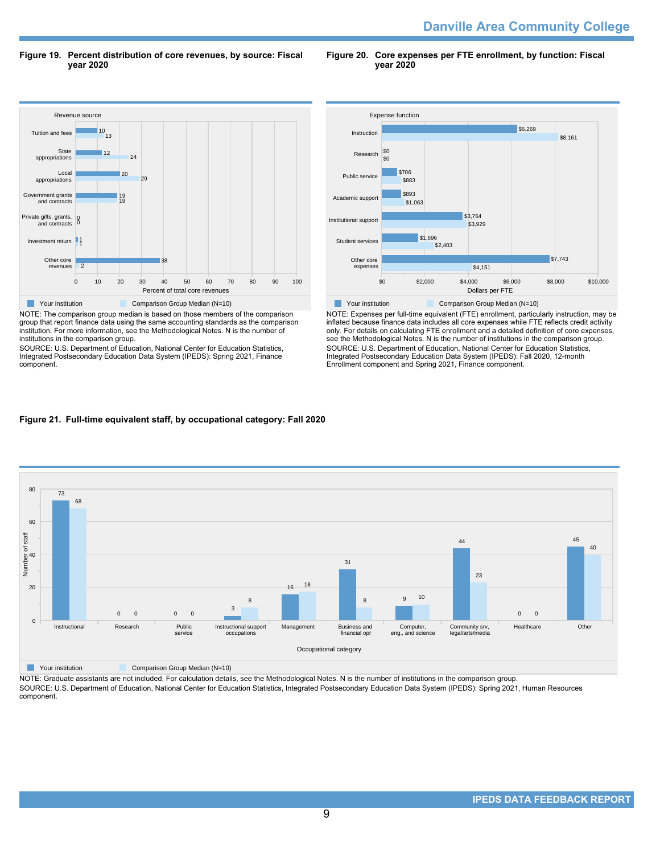**Danville Area Community College** 

**Figure 19. Percent distribution of core revenues, by source: Fiscal year 2020**

**Figure 20. Core expenses per FTE enrollment, by function: Fiscal year 2020**



NOTE: The comparison group median is based on those members of the comparison group that report finance data using the same accounting standards as the comparison institution. For more information, see the Methodological Notes. N is the number of institutions in the comparison group.

SOURCE: U.S. Department of Education, National Center for Education Statistics, Integrated Postsecondary Education Data System (IPEDS): Spring 2021, Finance component.



NOTE: Expenses per full-time equivalent (FTE) enrollment, particularly instruction, may be inflated because finance data includes all core expenses while FTE reflects credit activity only. For details on calculating FTE enrollment and a detailed definition of core expenses, see the Methodological Notes. N is the number of institutions in the comparison group. SOURCE: U.S. Department of Education, National Center for Education Statistics, Integrated Postsecondary Education Data System (IPEDS): Fall 2020, 12-month Enrollment component and Spring 2021, Finance component.

# **Figure 21. Full-time equivalent staff, by occupational category: Fall 2020**



NOTE: Graduate assistants are not included. For calculation details, see the Methodological Notes. N is the number of institutions in the comparison group.

SOURCE: U.S. Department of Education, National Center for Education Statistics, Integrated Postsecondary Education Data System (IPEDS): Spring 2021, Human Resources component.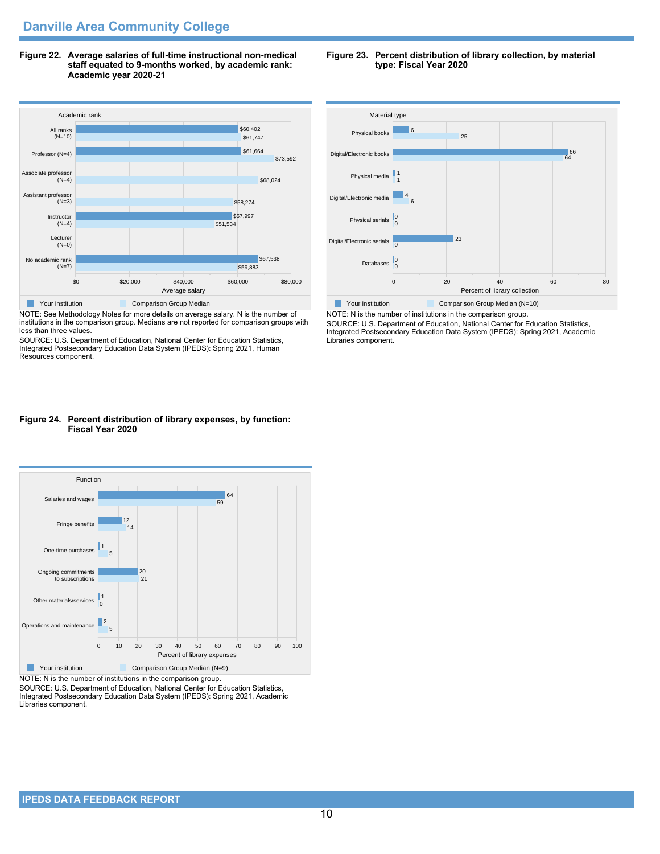**Figure 22. Average salaries of full-time instructional non-medical staff equated to 9-months worked, by academic rank: Academic year 2020-21**



NOTE: See Methodology Notes for more details on average salary. N is the number of institutions in the comparison group. Medians are not reported for comparison groups with less than three values.

SOURCE: U.S. Department of Education, National Center for Education Statistics, Integrated Postsecondary Education Data System (IPEDS): Spring 2021, Human Resources component.

### **Figure 24. Percent distribution of library expenses, by function: Fiscal Year 2020**



NOTE: N is the number of institutions in the comparison group.

SOURCE: U.S. Department of Education, National Center for Education Statistics, Integrated Postsecondary Education Data System (IPEDS): Spring 2021, Academic Libraries component.





NOTE: N is the number of institutions in the comparison group. SOURCE: U.S. Department of Education, National Center for Education Statistics, Integrated Postsecondary Education Data System (IPEDS): Spring 2021, Academic Libraries component.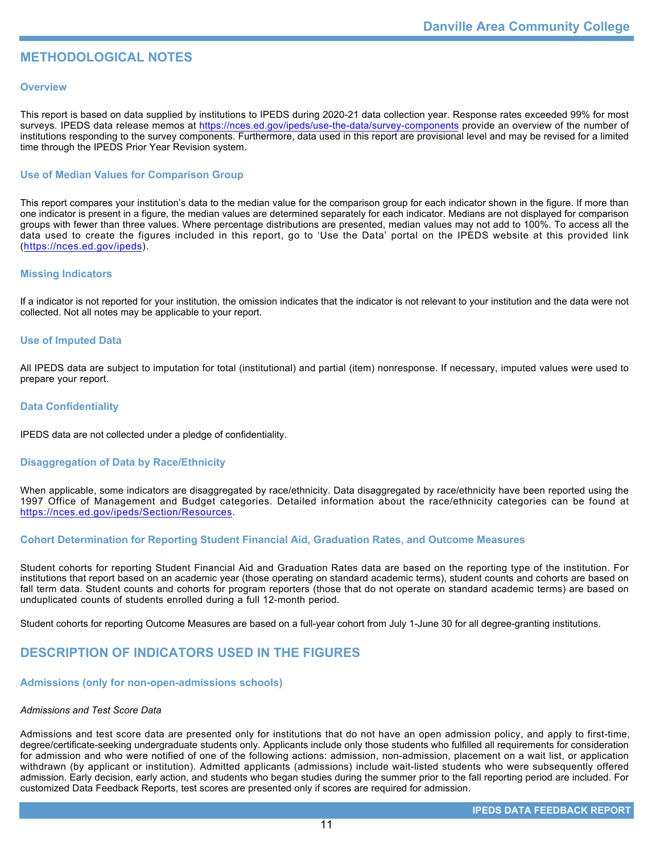# **METHODOLOGICAL NOTES**

# **Overview**

This report is based on data supplied by institutions to IPEDS during 2020-21 data collection year. Response rates exceeded 99% for most surveys. IPEDS data release memos at <https://nces.ed.gov/ipeds/use-the-data/survey-components> provide an overview of the number of institutions responding to the survey components. Furthermore, data used in this report are provisional level and may be revised for a limited time through the IPEDS Prior Year Revision system.

# **Use of Median Values for Comparison Group**

This report compares your institution's data to the median value for the comparison group for each indicator shown in the figure. If more than one indicator is present in a figure, the median values are determined separately for each indicator. Medians are not displayed for comparison groups with fewer than three values. Where percentage distributions are presented, median values may not add to 100%. To access all the data used to create the figures included in this report, go to 'Use the Data' portal on the IPEDS website at this provided link (<https://nces.ed.gov/ipeds>).

# **Missing Indicators**

If a indicator is not reported for your institution, the omission indicates that the indicator is not relevant to your institution and the data were not collected. Not all notes may be applicable to your report.

### **Use of Imputed Data**

All IPEDS data are subject to imputation for total (institutional) and partial (item) nonresponse. If necessary, imputed values were used to prepare your report.

# **Data Confidentiality**

IPEDS data are not collected under a pledge of confidentiality.

# **Disaggregation of Data by Race/Ethnicity**

When applicable, some indicators are disaggregated by race/ethnicity. Data disaggregated by race/ethnicity have been reported using the 1997 Office of Management and Budget categories. Detailed information about the race/ethnicity categories can be found at <https://nces.ed.gov/ipeds/Section/Resources>.

# **Cohort Determination for Reporting Student Financial Aid, Graduation Rates, and Outcome Measures**

Student cohorts for reporting Student Financial Aid and Graduation Rates data are based on the reporting type of the institution. For institutions that report based on an academic year (those operating on standard academic terms), student counts and cohorts are based on fall term data. Student counts and cohorts for program reporters (those that do not operate on standard academic terms) are based on unduplicated counts of students enrolled during a full 12-month period.

Student cohorts for reporting Outcome Measures are based on a full-year cohort from July 1-June 30 for all degree-granting institutions.

# **DESCRIPTION OF INDICATORS USED IN THE FIGURES**

### **Admissions (only for non-open-admissions schools)**

### *Admissions and Test Score Data*

Admissions and test score data are presented only for institutions that do not have an open admission policy, and apply to first-time, degree/certificate-seeking undergraduate students only. Applicants include only those students who fulfilled all requirements for consideration for admission and who were notified of one of the following actions: admission, non-admission, placement on a wait list, or application withdrawn (by applicant or institution). Admitted applicants (admissions) include wait-listed students who were subsequently offered admission. Early decision, early action, and students who began studies during the summer prior to the fall reporting period are included. For customized Data Feedback Reports, test scores are presented only if scores are required for admission.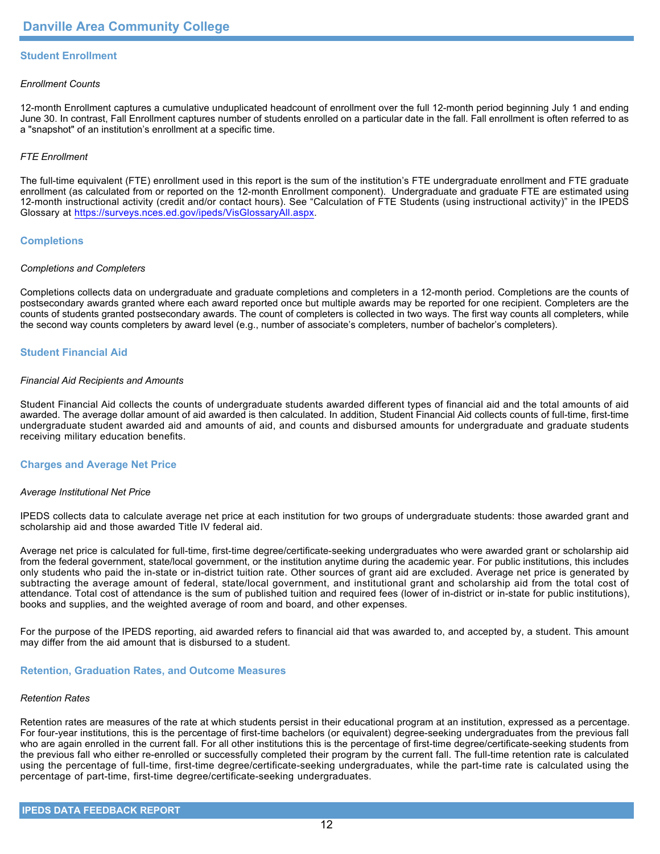# **Student Enrollment**

### *Enrollment Counts*

12-month Enrollment captures a cumulative unduplicated headcount of enrollment over the full 12-month period beginning July 1 and ending June 30. In contrast, Fall Enrollment captures number of students enrolled on a particular date in the fall. Fall enrollment is often referred to as a "snapshot" of an institution's enrollment at a specific time.

# *FTE Enrollment*

The full-time equivalent (FTE) enrollment used in this report is the sum of the institution's FTE undergraduate enrollment and FTE graduate enrollment (as calculated from or reported on the 12-month Enrollment component). Undergraduate and graduate FTE are estimated using 12-month instructional activity (credit and/or contact hours). See "Calculation of FTE Students (using instructional activity)" in the IPEDS Glossary at <https://surveys.nces.ed.gov/ipeds/VisGlossaryAll.aspx>.

# **Completions**

### *Completions and Completers*

Completions collects data on undergraduate and graduate completions and completers in a 12-month period. Completions are the counts of postsecondary awards granted where each award reported once but multiple awards may be reported for one recipient. Completers are the counts of students granted postsecondary awards. The count of completers is collected in two ways. The first way counts all completers, while the second way counts completers by award level (e.g., number of associate's completers, number of bachelor's completers).

# **Student Financial Aid**

### *Financial Aid Recipients and Amounts*

Student Financial Aid collects the counts of undergraduate students awarded different types of financial aid and the total amounts of aid awarded. The average dollar amount of aid awarded is then calculated. In addition, Student Financial Aid collects counts of full-time, first-time undergraduate student awarded aid and amounts of aid, and counts and disbursed amounts for undergraduate and graduate students receiving military education benefits.

### **Charges and Average Net Price**

### *Average Institutional Net Price*

IPEDS collects data to calculate average net price at each institution for two groups of undergraduate students: those awarded grant and scholarship aid and those awarded Title IV federal aid.

Average net price is calculated for full-time, first-time degree/certificate-seeking undergraduates who were awarded grant or scholarship aid from the federal government, state/local government, or the institution anytime during the academic year. For public institutions, this includes only students who paid the in-state or in-district tuition rate. Other sources of grant aid are excluded. Average net price is generated by subtracting the average amount of federal, state/local government, and institutional grant and scholarship aid from the total cost of attendance. Total cost of attendance is the sum of published tuition and required fees (lower of in-district or in-state for public institutions), books and supplies, and the weighted average of room and board, and other expenses.

For the purpose of the IPEDS reporting, aid awarded refers to financial aid that was awarded to, and accepted by, a student. This amount may differ from the aid amount that is disbursed to a student.

### **Retention, Graduation Rates, and Outcome Measures**

### *Retention Rates*

Retention rates are measures of the rate at which students persist in their educational program at an institution, expressed as a percentage. For four-year institutions, this is the percentage of first-time bachelors (or equivalent) degree-seeking undergraduates from the previous fall who are again enrolled in the current fall. For all other institutions this is the percentage of first-time degree/certificate-seeking students from the previous fall who either re-enrolled or successfully completed their program by the current fall. The full-time retention rate is calculated using the percentage of full-time, first-time degree/certificate-seeking undergraduates, while the part-time rate is calculated using the percentage of part-time, first-time degree/certificate-seeking undergraduates.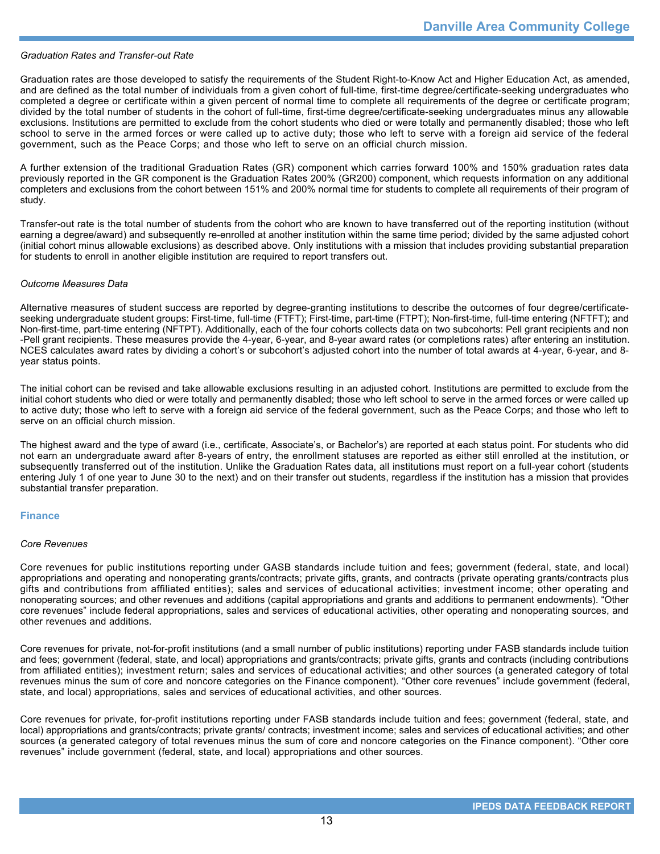# *Graduation Rates and Transfer-out Rate*

Graduation rates are those developed to satisfy the requirements of the Student Right-to-Know Act and Higher Education Act, as amended, and are defined as the total number of individuals from a given cohort of full-time, first-time degree/certificate-seeking undergraduates who completed a degree or certificate within a given percent of normal time to complete all requirements of the degree or certificate program; divided by the total number of students in the cohort of full-time, first-time degree/certificate-seeking undergraduates minus any allowable exclusions. Institutions are permitted to exclude from the cohort students who died or were totally and permanently disabled; those who left school to serve in the armed forces or were called up to active duty; those who left to serve with a foreign aid service of the federal government, such as the Peace Corps; and those who left to serve on an official church mission.

A further extension of the traditional Graduation Rates (GR) component which carries forward 100% and 150% graduation rates data previously reported in the GR component is the Graduation Rates 200% (GR200) component, which requests information on any additional completers and exclusions from the cohort between 151% and 200% normal time for students to complete all requirements of their program of study.

Transfer-out rate is the total number of students from the cohort who are known to have transferred out of the reporting institution (without earning a degree/award) and subsequently re-enrolled at another institution within the same time period; divided by the same adjusted cohort (initial cohort minus allowable exclusions) as described above. Only institutions with a mission that includes providing substantial preparation for students to enroll in another eligible institution are required to report transfers out.

### *Outcome Measures Data*

Alternative measures of student success are reported by degree-granting institutions to describe the outcomes of four degree/certificateseeking undergraduate student groups: First-time, full-time (FTFT); First-time, part-time (FTPT); Non-first-time, full-time entering (NFTFT); and Non-first-time, part-time entering (NFTPT). Additionally, each of the four cohorts collects data on two subcohorts: Pell grant recipients and non -Pell grant recipients. These measures provide the 4-year, 6-year, and 8-year award rates (or completions rates) after entering an institution. NCES calculates award rates by dividing a cohort's or subcohort's adjusted cohort into the number of total awards at 4-year, 6-year, and 8year status points.

The initial cohort can be revised and take allowable exclusions resulting in an adjusted cohort. Institutions are permitted to exclude from the initial cohort students who died or were totally and permanently disabled; those who left school to serve in the armed forces or were called up to active duty; those who left to serve with a foreign aid service of the federal government, such as the Peace Corps; and those who left to serve on an official church mission.

The highest award and the type of award (i.e., certificate, Associate's, or Bachelor's) are reported at each status point. For students who did not earn an undergraduate award after 8-years of entry, the enrollment statuses are reported as either still enrolled at the institution, or subsequently transferred out of the institution. Unlike the Graduation Rates data, all institutions must report on a full-year cohort (students entering July 1 of one year to June 30 to the next) and on their transfer out students, regardless if the institution has a mission that provides substantial transfer preparation.

### **Finance**

### *Core Revenues*

Core revenues for public institutions reporting under GASB standards include tuition and fees; government (federal, state, and local) appropriations and operating and nonoperating grants/contracts; private gifts, grants, and contracts (private operating grants/contracts plus gifts and contributions from affiliated entities); sales and services of educational activities; investment income; other operating and nonoperating sources; and other revenues and additions (capital appropriations and grants and additions to permanent endowments). "Other core revenues" include federal appropriations, sales and services of educational activities, other operating and nonoperating sources, and other revenues and additions.

Core revenues for private, not-for-profit institutions (and a small number of public institutions) reporting under FASB standards include tuition and fees; government (federal, state, and local) appropriations and grants/contracts; private gifts, grants and contracts (including contributions from affiliated entities); investment return; sales and services of educational activities; and other sources (a generated category of total revenues minus the sum of core and noncore categories on the Finance component). "Other core revenues" include government (federal, state, and local) appropriations, sales and services of educational activities, and other sources.

Core revenues for private, for-profit institutions reporting under FASB standards include tuition and fees; government (federal, state, and local) appropriations and grants/contracts; private grants/ contracts; investment income; sales and services of educational activities; and other sources (a generated category of total revenues minus the sum of core and noncore categories on the Finance component). "Other core revenues" include government (federal, state, and local) appropriations and other sources.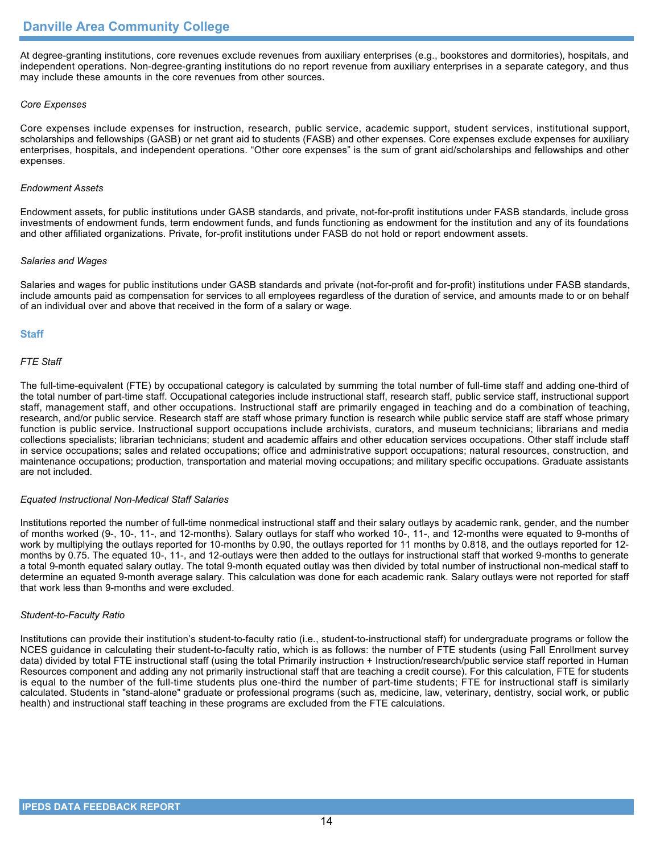At degree-granting institutions, core revenues exclude revenues from auxiliary enterprises (e.g., bookstores and dormitories), hospitals, and independent operations. Non-degree-granting institutions do no report revenue from auxiliary enterprises in a separate category, and thus may include these amounts in the core revenues from other sources.

### *Core Expenses*

Core expenses include expenses for instruction, research, public service, academic support, student services, institutional support, scholarships and fellowships (GASB) or net grant aid to students (FASB) and other expenses. Core expenses exclude expenses for auxiliary enterprises, hospitals, and independent operations. "Other core expenses" is the sum of grant aid/scholarships and fellowships and other expenses.

### *Endowment Assets*

Endowment assets, for public institutions under GASB standards, and private, not-for-profit institutions under FASB standards, include gross investments of endowment funds, term endowment funds, and funds functioning as endowment for the institution and any of its foundations and other affiliated organizations. Private, for-profit institutions under FASB do not hold or report endowment assets.

### *Salaries and Wages*

Salaries and wages for public institutions under GASB standards and private (not-for-profit and for-profit) institutions under FASB standards, include amounts paid as compensation for services to all employees regardless of the duration of service, and amounts made to or on behalf of an individual over and above that received in the form of a salary or wage.

# **Staff**

# *FTE Staff*

The full-time-equivalent (FTE) by occupational category is calculated by summing the total number of full-time staff and adding one-third of the total number of part-time staff. Occupational categories include instructional staff, research staff, public service staff, instructional support staff, management staff, and other occupations. Instructional staff are primarily engaged in teaching and do a combination of teaching, research, and/or public service. Research staff are staff whose primary function is research while public service staff are staff whose primary function is public service. Instructional support occupations include archivists, curators, and museum technicians; librarians and media collections specialists; librarian technicians; student and academic affairs and other education services occupations. Other staff include staff in service occupations; sales and related occupations; office and administrative support occupations; natural resources, construction, and maintenance occupations; production, transportation and material moving occupations; and military specific occupations. Graduate assistants are not included.

### *Equated Instructional Non-Medical Staff Salaries*

Institutions reported the number of full-time nonmedical instructional staff and their salary outlays by academic rank, gender, and the number of months worked (9-, 10-, 11-, and 12-months). Salary outlays for staff who worked 10-, 11-, and 12-months were equated to 9-months of work by multiplying the outlays reported for 10-months by 0.90, the outlays reported for 11 months by 0.818, and the outlays reported for 12 months by 0.75. The equated 10-, 11-, and 12-outlays were then added to the outlays for instructional staff that worked 9-months to generate a total 9-month equated salary outlay. The total 9-month equated outlay was then divided by total number of instructional non-medical staff to determine an equated 9-month average salary. This calculation was done for each academic rank. Salary outlays were not reported for staff that work less than 9-months and were excluded.

### *Student-to-Faculty Ratio*

Institutions can provide their institution's student-to-faculty ratio (i.e., student-to-instructional staff) for undergraduate programs or follow the NCES guidance in calculating their student-to-faculty ratio, which is as follows: the number of FTE students (using Fall Enrollment survey data) divided by total FTE instructional staff (using the total Primarily instruction + Instruction/research/public service staff reported in Human Resources component and adding any not primarily instructional staff that are teaching a credit course). For this calculation, FTE for students is equal to the number of the full-time students plus one-third the number of part-time students; FTE for instructional staff is similarly calculated. Students in "stand-alone" graduate or professional programs (such as, medicine, law, veterinary, dentistry, social work, or public health) and instructional staff teaching in these programs are excluded from the FTE calculations.